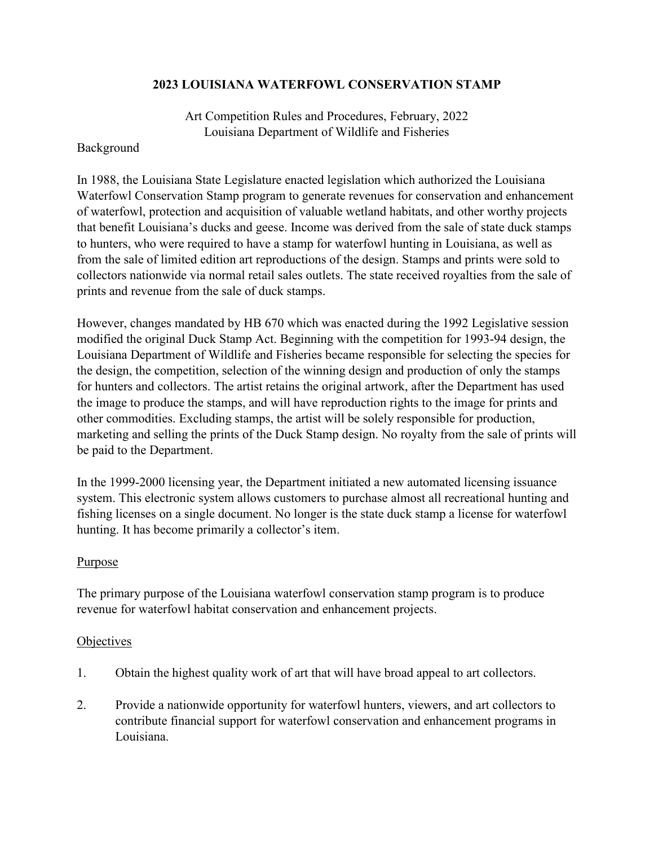### **2023 LOUISIANA WATERFOWL CONSERVATION STAMP**

Art Competition Rules and Procedures, February, 2022 Louisiana Department of Wildlife and Fisheries

#### Background

In 1988, the Louisiana State Legislature enacted legislation which authorized the Louisiana Waterfowl Conservation Stamp program to generate revenues for conservation and enhancement of waterfowl, protection and acquisition of valuable wetland habitats, and other worthy projects that benefit Louisiana's ducks and geese. Income was derived from the sale of state duck stamps to hunters, who were required to have a stamp for waterfowl hunting in Louisiana, as well as from the sale of limited edition art reproductions of the design. Stamps and prints were sold to collectors nationwide via normal retail sales outlets. The state received royalties from the sale of prints and revenue from the sale of duck stamps.

However, changes mandated by HB 670 which was enacted during the 1992 Legislative session modified the original Duck Stamp Act. Beginning with the competition for 1993-94 design, the Louisiana Department of Wildlife and Fisheries became responsible for selecting the species for the design, the competition, selection of the winning design and production of only the stamps for hunters and collectors. The artist retains the original artwork, after the Department has used the image to produce the stamps, and will have reproduction rights to the image for prints and other commodities. Excluding stamps, the artist will be solely responsible for production, marketing and selling the prints of the Duck Stamp design. No royalty from the sale of prints will be paid to the Department.

In the 1999-2000 licensing year, the Department initiated a new automated licensing issuance system. This electronic system allows customers to purchase almost all recreational hunting and fishing licenses on a single document. No longer is the state duck stamp a license for waterfowl hunting. It has become primarily a collector's item.

### Purpose

The primary purpose of the Louisiana waterfowl conservation stamp program is to produce revenue for waterfowl habitat conservation and enhancement projects.

### **Objectives**

- 1. Obtain the highest quality work of art that will have broad appeal to art collectors.
- 2. Provide a nationwide opportunity for waterfowl hunters, viewers, and art collectors to contribute financial support for waterfowl conservation and enhancement programs in Louisiana.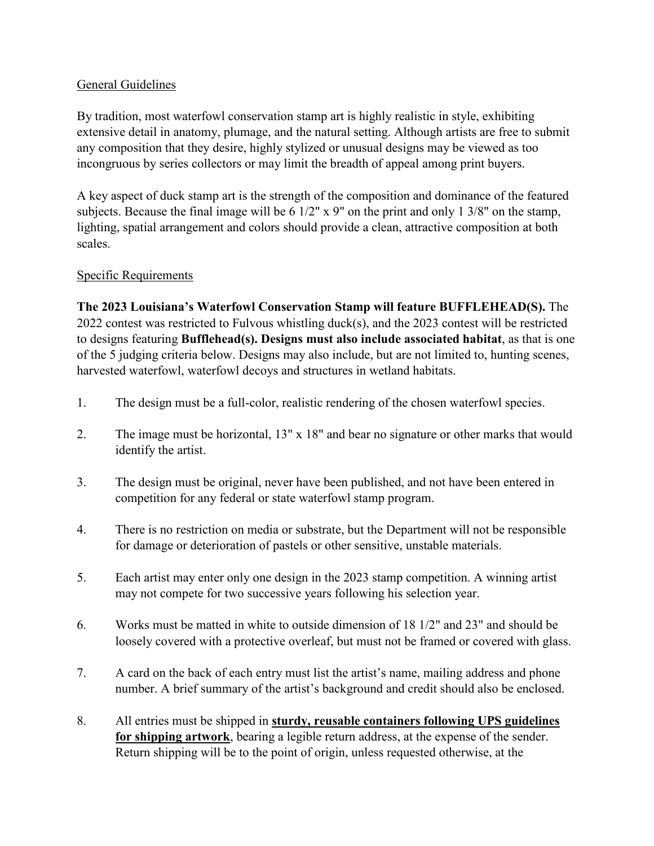## General Guidelines

By tradition, most waterfowl conservation stamp art is highly realistic in style, exhibiting extensive detail in anatomy, plumage, and the natural setting. Although artists are free to submit any composition that they desire, highly stylized or unusual designs may be viewed as too incongruous by series collectors or may limit the breadth of appeal among print buyers.

A key aspect of duck stamp art is the strength of the composition and dominance of the featured subjects. Because the final image will be 6 1/2" x 9" on the print and only 1 3/8" on the stamp, lighting, spatial arrangement and colors should provide a clean, attractive composition at both scales.

# Specific Requirements

**The 2023 Louisiana's Waterfowl Conservation Stamp will feature BUFFLEHEAD(S).** The 2022 contest was restricted to Fulvous whistling duck(s), and the 2023 contest will be restricted to designs featuring **Bufflehead(s). Designs must also include associated habitat**, as that is one of the 5 judging criteria below. Designs may also include, but are not limited to, hunting scenes, harvested waterfowl, waterfowl decoys and structures in wetland habitats.

- 1. The design must be a full-color, realistic rendering of the chosen waterfowl species.
- 2. The image must be horizontal, 13" x 18" and bear no signature or other marks that would identify the artist.
- 3. The design must be original, never have been published, and not have been entered in competition for any federal or state waterfowl stamp program.
- 4. There is no restriction on media or substrate, but the Department will not be responsible for damage or deterioration of pastels or other sensitive, unstable materials.
- 5. Each artist may enter only one design in the 2023 stamp competition. A winning artist may not compete for two successive years following his selection year.
- 6. Works must be matted in white to outside dimension of 18 1/2" and 23" and should be loosely covered with a protective overleaf, but must not be framed or covered with glass.
- 7. A card on the back of each entry must list the artist's name, mailing address and phone number. A brief summary of the artist's background and credit should also be enclosed.
- 8. All entries must be shipped in **sturdy, reusable containers following UPS guidelines for shipping artwork**, bearing a legible return address, at the expense of the sender. Return shipping will be to the point of origin, unless requested otherwise, at the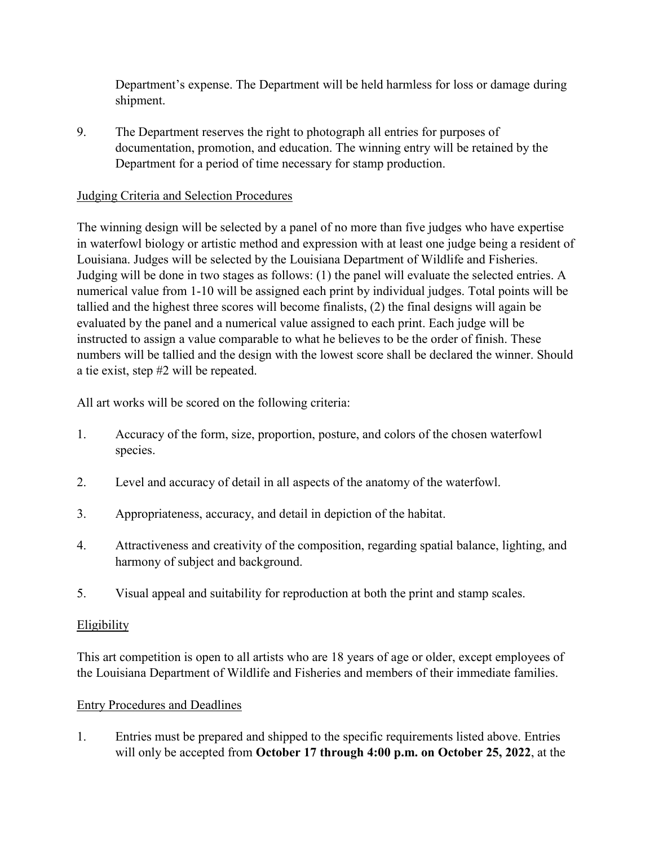Department's expense. The Department will be held harmless for loss or damage during shipment.

9. The Department reserves the right to photograph all entries for purposes of documentation, promotion, and education. The winning entry will be retained by the Department for a period of time necessary for stamp production.

## Judging Criteria and Selection Procedures

The winning design will be selected by a panel of no more than five judges who have expertise in waterfowl biology or artistic method and expression with at least one judge being a resident of Louisiana. Judges will be selected by the Louisiana Department of Wildlife and Fisheries. Judging will be done in two stages as follows: (1) the panel will evaluate the selected entries. A numerical value from 1-10 will be assigned each print by individual judges. Total points will be tallied and the highest three scores will become finalists, (2) the final designs will again be evaluated by the panel and a numerical value assigned to each print. Each judge will be instructed to assign a value comparable to what he believes to be the order of finish. These numbers will be tallied and the design with the lowest score shall be declared the winner. Should a tie exist, step #2 will be repeated.

All art works will be scored on the following criteria:

- 1. Accuracy of the form, size, proportion, posture, and colors of the chosen waterfowl species.
- 2. Level and accuracy of detail in all aspects of the anatomy of the waterfowl.
- 3. Appropriateness, accuracy, and detail in depiction of the habitat.
- 4. Attractiveness and creativity of the composition, regarding spatial balance, lighting, and harmony of subject and background.
- 5. Visual appeal and suitability for reproduction at both the print and stamp scales.

## **Eligibility**

This art competition is open to all artists who are 18 years of age or older, except employees of the Louisiana Department of Wildlife and Fisheries and members of their immediate families.

## Entry Procedures and Deadlines

1. Entries must be prepared and shipped to the specific requirements listed above. Entries will only be accepted from **October 17 through 4:00 p.m. on October 25, 2022**, at the